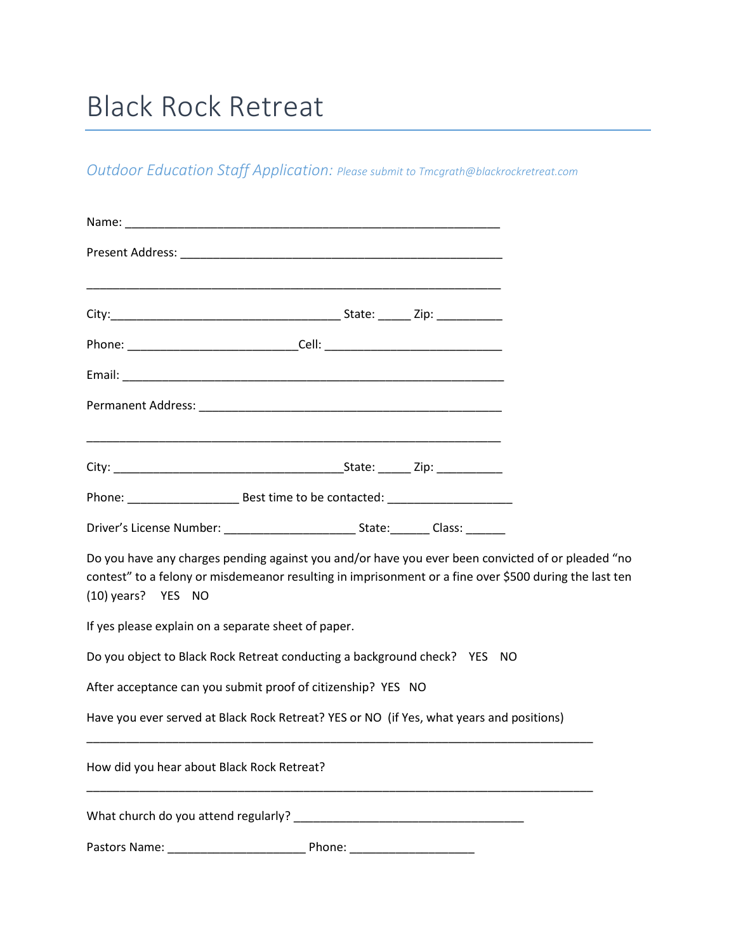# Black Rock Retreat

*Outdoor Education Staff Application: Please submit to Tmcgrath@blackrockretreat.com*

| Phone: _________________________________Cell: __________________________________                                                                                                                                                  |  |  |
|-----------------------------------------------------------------------------------------------------------------------------------------------------------------------------------------------------------------------------------|--|--|
|                                                                                                                                                                                                                                   |  |  |
|                                                                                                                                                                                                                                   |  |  |
|                                                                                                                                                                                                                                   |  |  |
|                                                                                                                                                                                                                                   |  |  |
|                                                                                                                                                                                                                                   |  |  |
| Do you have any charges pending against you and/or have you ever been convicted of or pleaded "no<br>contest" to a felony or misdemeanor resulting in imprisonment or a fine over \$500 during the last ten<br>(10) years? YES NO |  |  |
| If yes please explain on a separate sheet of paper.                                                                                                                                                                               |  |  |
| Do you object to Black Rock Retreat conducting a background check? YES NO                                                                                                                                                         |  |  |
| After acceptance can you submit proof of citizenship? YES NO                                                                                                                                                                      |  |  |
| Have you ever served at Black Rock Retreat? YES or NO (if Yes, what years and positions)                                                                                                                                          |  |  |
| How did you hear about Black Rock Retreat?                                                                                                                                                                                        |  |  |
|                                                                                                                                                                                                                                   |  |  |
|                                                                                                                                                                                                                                   |  |  |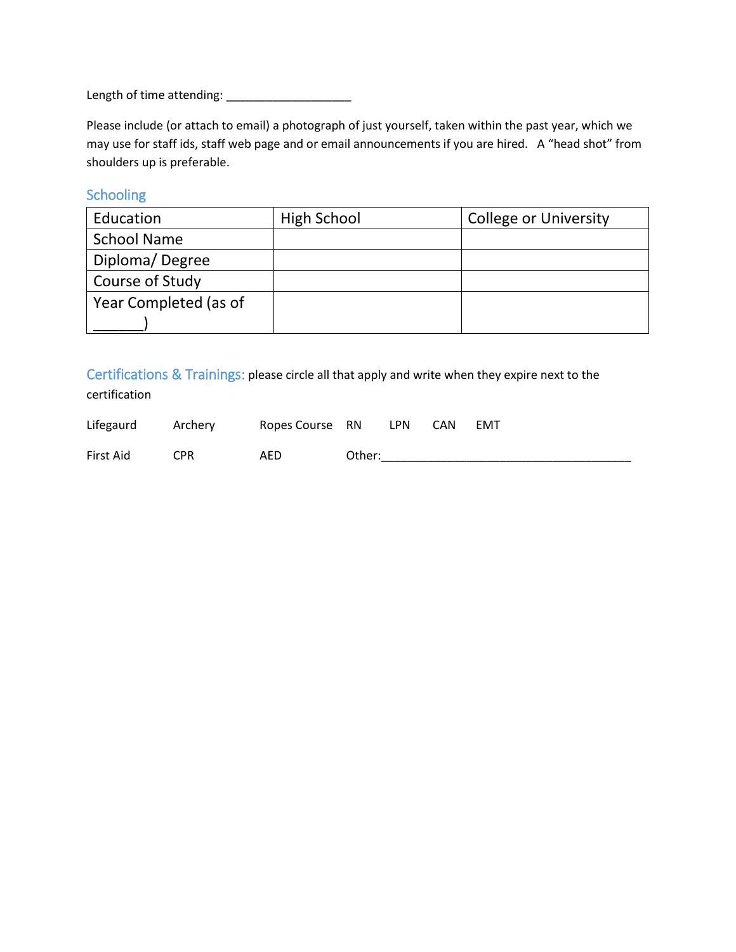Length of time attending: \_\_\_\_\_\_\_\_\_\_\_\_\_\_\_\_\_\_\_

Please include (or attach to email) a photograph of just yourself, taken within the past year, which we may use for staff ids, staff web page and or email announcements if you are hired. A "head shot" from shoulders up is preferable.

## Schooling

| Education             | <b>High School</b> | <b>College or University</b> |
|-----------------------|--------------------|------------------------------|
| <b>School Name</b>    |                    |                              |
| Diploma/Degree        |                    |                              |
| Course of Study       |                    |                              |
| Year Completed (as of |                    |                              |
|                       |                    |                              |

Certifications & Trainings: please circle all that apply and write when they expire next to the certification

| Lifegaurd | Archery | Ropes Course RN |        | <b>LPN</b> | <b>CAN</b> | EMT |
|-----------|---------|-----------------|--------|------------|------------|-----|
| First Aid | CPR     | AED             | Other: |            |            |     |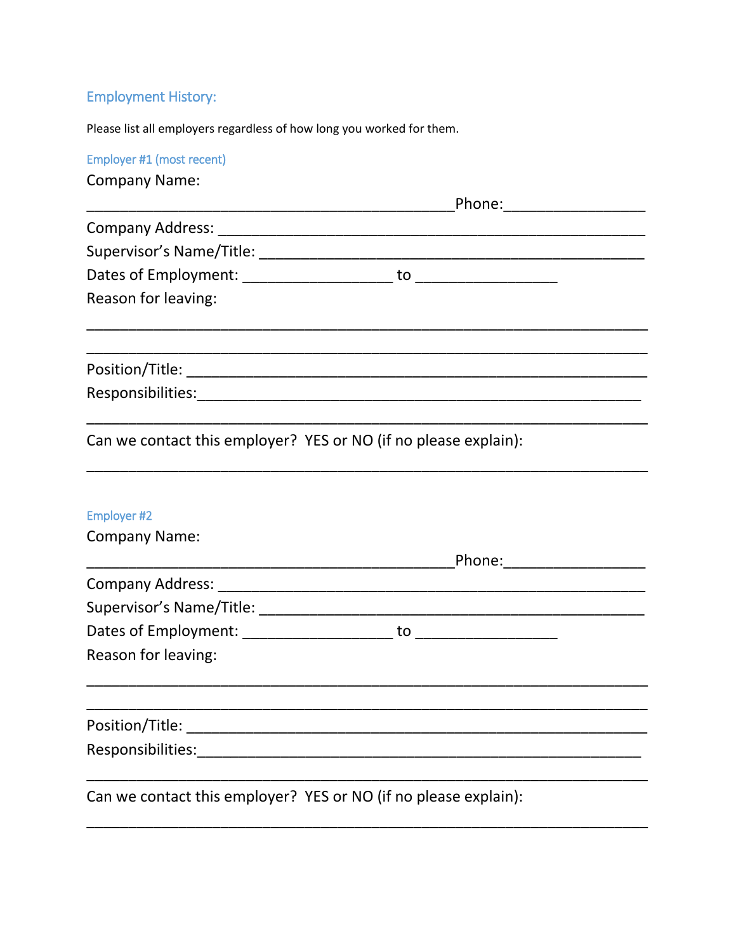## **Employment History:**

Please list all employers regardless of how long you worked for them.

Employer #1 (most recent) **Company Name:** Reason for leaving: Can we contact this employer? YES or NO (if no please explain): Employer #2 **Company Name:** Reason for leaving: Can we contact this employer? YES or NO (if no please explain):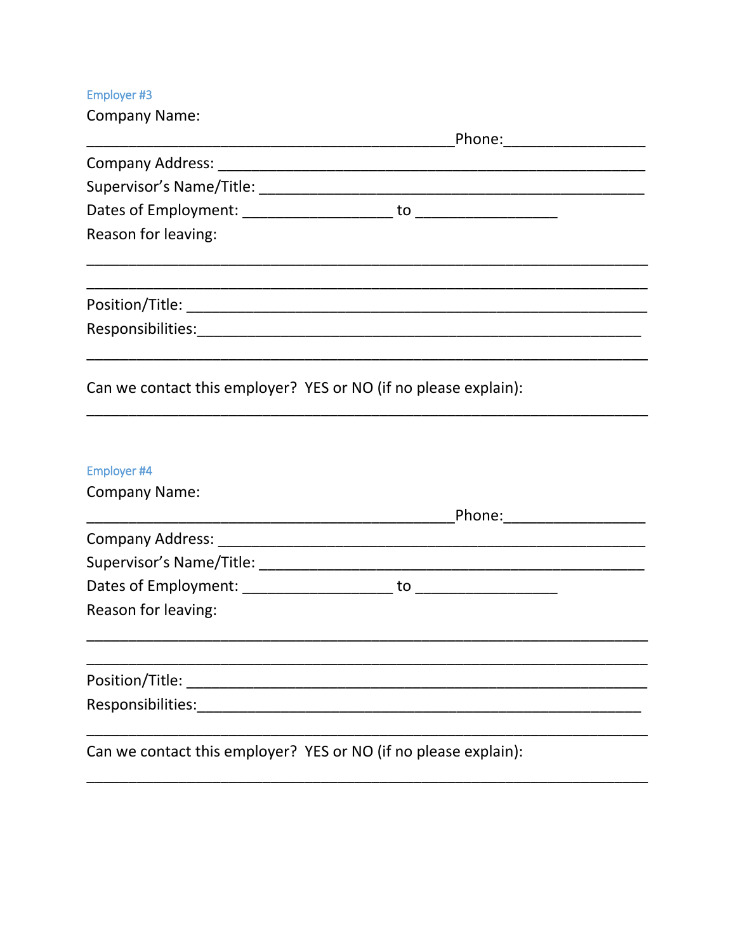## Employer #3

| <b>Company Name:</b> |                                                                                                                                                                                                                                |
|----------------------|--------------------------------------------------------------------------------------------------------------------------------------------------------------------------------------------------------------------------------|
|                      | _Phone:______________________                                                                                                                                                                                                  |
|                      |                                                                                                                                                                                                                                |
|                      |                                                                                                                                                                                                                                |
|                      |                                                                                                                                                                                                                                |
| Reason for leaving:  |                                                                                                                                                                                                                                |
|                      |                                                                                                                                                                                                                                |
|                      |                                                                                                                                                                                                                                |
|                      | Can we contact this employer? YES or NO (if no please explain):                                                                                                                                                                |
| Employer #4          |                                                                                                                                                                                                                                |
| <b>Company Name:</b> |                                                                                                                                                                                                                                |
|                      | Phone: Annual Phone: Albert Phone: Albert Phone: Albert Phone: Albert Phone: Albert Phone: Albert Phone: Albert Phone: Albert Phone: Albert Phone: Albert Phone: Albert Phone: Albert Phone: Albert Phone: Albert Phone: Alber |
|                      |                                                                                                                                                                                                                                |
|                      |                                                                                                                                                                                                                                |
|                      |                                                                                                                                                                                                                                |
| Reason for leaving:  |                                                                                                                                                                                                                                |
|                      |                                                                                                                                                                                                                                |
| Position/Title:      |                                                                                                                                                                                                                                |
| Responsibilities:    |                                                                                                                                                                                                                                |
|                      | Can we contact this employer? YES or NO (if no please explain):                                                                                                                                                                |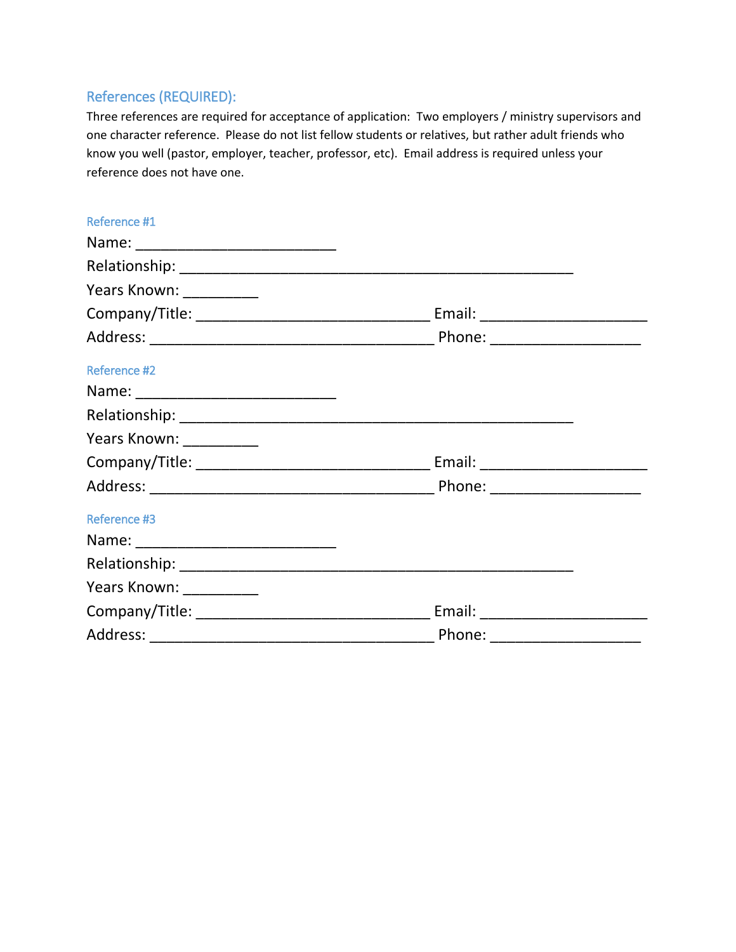## References (REQUIRED):

Three references are required for acceptance of application: Two employers / ministry supervisors and one character reference. Please do not list fellow students or relatives, but rather adult friends who know you well (pastor, employer, teacher, professor, etc). Email address is required unless your reference does not have one.

| Reference #1             |                                                                                                                                                                                                                                |  |
|--------------------------|--------------------------------------------------------------------------------------------------------------------------------------------------------------------------------------------------------------------------------|--|
|                          |                                                                                                                                                                                                                                |  |
|                          |                                                                                                                                                                                                                                |  |
| Years Known: ___________ |                                                                                                                                                                                                                                |  |
|                          |                                                                                                                                                                                                                                |  |
|                          |                                                                                                                                                                                                                                |  |
| Reference #2             |                                                                                                                                                                                                                                |  |
|                          |                                                                                                                                                                                                                                |  |
|                          |                                                                                                                                                                                                                                |  |
| Years Known: __________  |                                                                                                                                                                                                                                |  |
|                          | Email: North Management of the Second Second Second Second Second Second Second Second Second Second Second Second Second Second Second Second Second Second Second Second Second Second Second Second Second Second Second Se |  |
|                          |                                                                                                                                                                                                                                |  |
| <b>Reference #3</b>      |                                                                                                                                                                                                                                |  |
|                          |                                                                                                                                                                                                                                |  |
|                          |                                                                                                                                                                                                                                |  |
| Years Known: ___________ |                                                                                                                                                                                                                                |  |
|                          | Email: North Management of the Second Second Second Second Second Second Second Second Second Second Second Second Second Second Second Second Second Second Second Second Second Second Second Second Second Second Second Se |  |
|                          | Phone: ____________________                                                                                                                                                                                                    |  |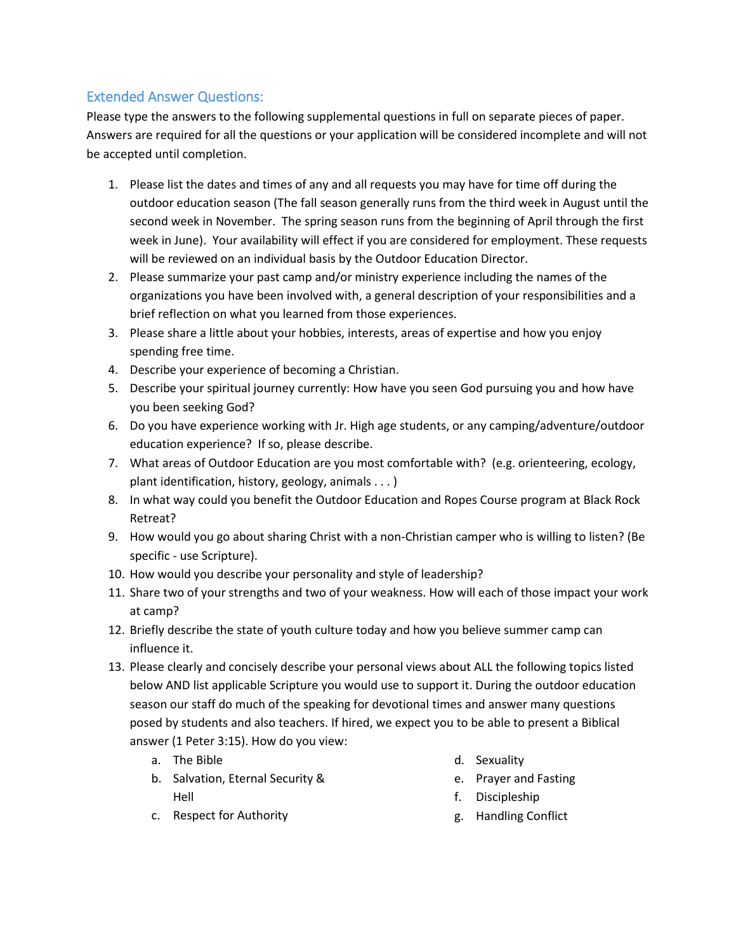## Extended Answer Questions:

Please type the answers to the following supplemental questions in full on separate pieces of paper. Answers are required for all the questions or your application will be considered incomplete and will not be accepted until completion.

- 1. Please list the dates and times of any and all requests you may have for time off during the outdoor education season (The fall season generally runs from the third week in August until the second week in November. The spring season runs from the beginning of April through the first week in June). Your availability will effect if you are considered for employment. These requests will be reviewed on an individual basis by the Outdoor Education Director.
- 2. Please summarize your past camp and/or ministry experience including the names of the organizations you have been involved with, a general description of your responsibilities and a brief reflection on what you learned from those experiences.
- 3. Please share a little about your hobbies, interests, areas of expertise and how you enjoy spending free time.
- 4. Describe your experience of becoming a Christian.
- 5. Describe your spiritual journey currently: How have you seen God pursuing you and how have you been seeking God?
- 6. Do you have experience working with Jr. High age students, or any camping/adventure/outdoor education experience? If so, please describe.
- 7. What areas of Outdoor Education are you most comfortable with? (e.g. orienteering, ecology, plant identification, history, geology, animals . . . )
- 8. In what way could you benefit the Outdoor Education and Ropes Course program at Black Rock Retreat?
- 9. How would you go about sharing Christ with a non-Christian camper who is willing to listen? (Be specific - use Scripture).
- 10. How would you describe your personality and style of leadership?
- 11. Share two of your strengths and two of your weakness. How will each of those impact your work at camp?
- 12. Briefly describe the state of youth culture today and how you believe summer camp can influence it.
- 13. Please clearly and concisely describe your personal views about ALL the following topics listed below AND list applicable Scripture you would use to support it. During the outdoor education season our staff do much of the speaking for devotional times and answer many questions posed by students and also teachers. If hired, we expect you to be able to present a Biblical answer (1 Peter 3:15). How do you view:
	- a. The Bible
	- b. Salvation, Eternal Security & Hell
- d. Sexuality
- e. Prayer and Fasting
- f. Discipleship
- g. Handling Conflict

c. Respect for Authority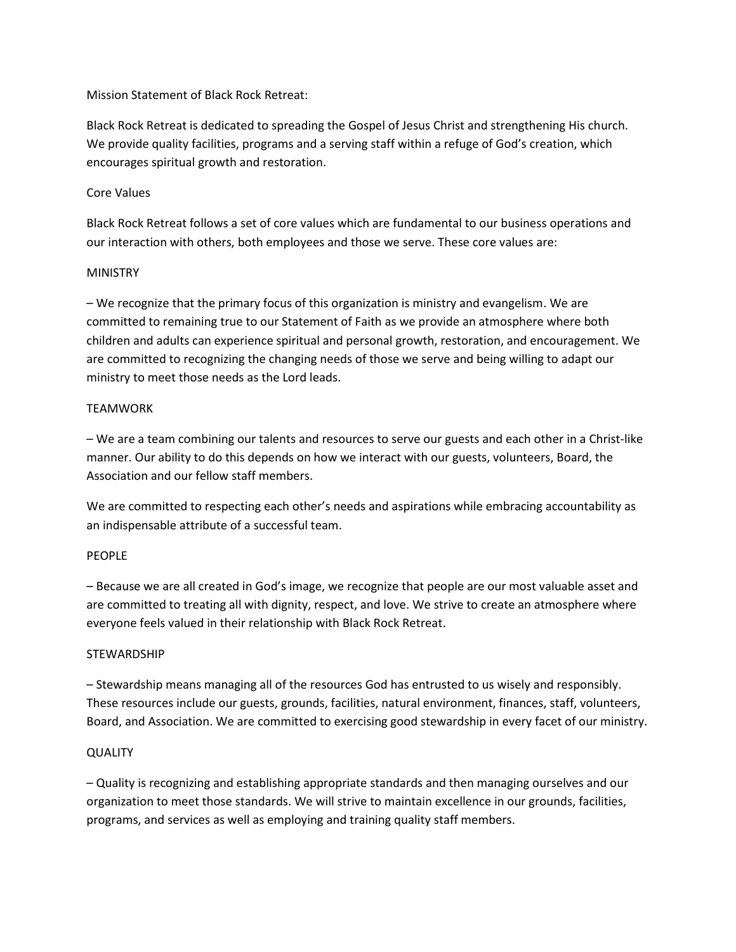#### Mission Statement of Black Rock Retreat:

Black Rock Retreat is dedicated to spreading the Gospel of Jesus Christ and strengthening His church. We provide quality facilities, programs and a serving staff within a refuge of God's creation, which encourages spiritual growth and restoration.

#### Core Values

Black Rock Retreat follows a set of core values which are fundamental to our business operations and our interaction with others, both employees and those we serve. These core values are:

#### MINISTRY

– We recognize that the primary focus of this organization is ministry and evangelism. We are committed to remaining true to our Statement of Faith as we provide an atmosphere where both children and adults can experience spiritual and personal growth, restoration, and encouragement. We are committed to recognizing the changing needs of those we serve and being willing to adapt our ministry to meet those needs as the Lord leads.

#### TEAMWORK

– We are a team combining our talents and resources to serve our guests and each other in a Christ-like manner. Our ability to do this depends on how we interact with our guests, volunteers, Board, the Association and our fellow staff members.

We are committed to respecting each other's needs and aspirations while embracing accountability as an indispensable attribute of a successful team.

#### PEOPLE

– Because we are all created in God's image, we recognize that people are our most valuable asset and are committed to treating all with dignity, respect, and love. We strive to create an atmosphere where everyone feels valued in their relationship with Black Rock Retreat.

#### **STEWARDSHIP**

– Stewardship means managing all of the resources God has entrusted to us wisely and responsibly. These resources include our guests, grounds, facilities, natural environment, finances, staff, volunteers, Board, and Association. We are committed to exercising good stewardship in every facet of our ministry.

#### **QUALITY**

– Quality is recognizing and establishing appropriate standards and then managing ourselves and our organization to meet those standards. We will strive to maintain excellence in our grounds, facilities, programs, and services as well as employing and training quality staff members.